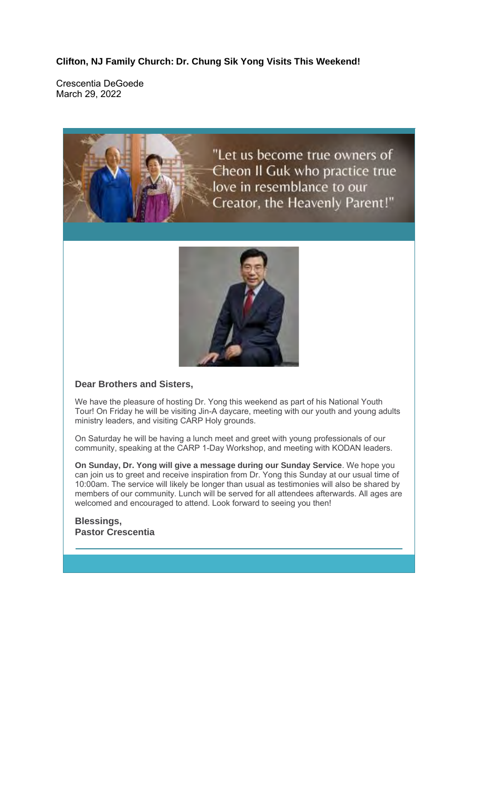**Clifton, NJ Family Church: Dr. Chung Sik Yong Visits This Weekend!**

Crescentia DeGoede March 29, 2022



"Let us become true owners of Cheon II Guk who practice true love in resemblance to our Creator, the Heavenly Parent!"



### **Dear Brothers and Sisters,**

We have the pleasure of hosting Dr. Yong this weekend as part of his National Youth Tour! On Friday he will be visiting Jin-A daycare, meeting with our youth and young adults ministry leaders, and visiting CARP Holy grounds.

On Saturday he will be having a lunch meet and greet with young professionals of our community, speaking at the CARP 1-Day Workshop, and meeting with KODAN leaders.

**On Sunday, Dr. Yong will give a message during our Sunday Service**. We hope you can join us to greet and receive inspiration from Dr. Yong this Sunday at our usual time of 10:00am. The service will likely be longer than usual as testimonies will also be shared by members of our community. Lunch will be served for all attendees afterwards. All ages are welcomed and encouraged to attend. Look forward to seeing you then!

#### **Blessings, Pastor Crescentia**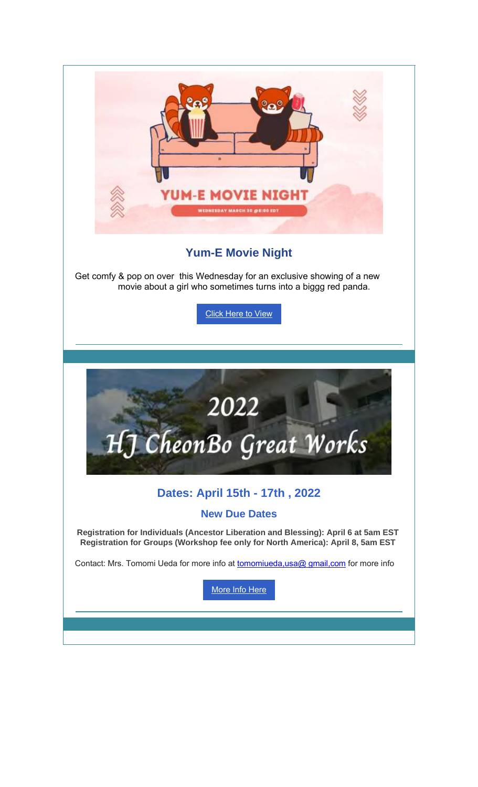

# **Yum-E Movie Night**

Get comfy & pop on over this Wednesday for an exclusive showing of a new movie about a girl who sometimes turns into a biggg red panda.

Click Here to View

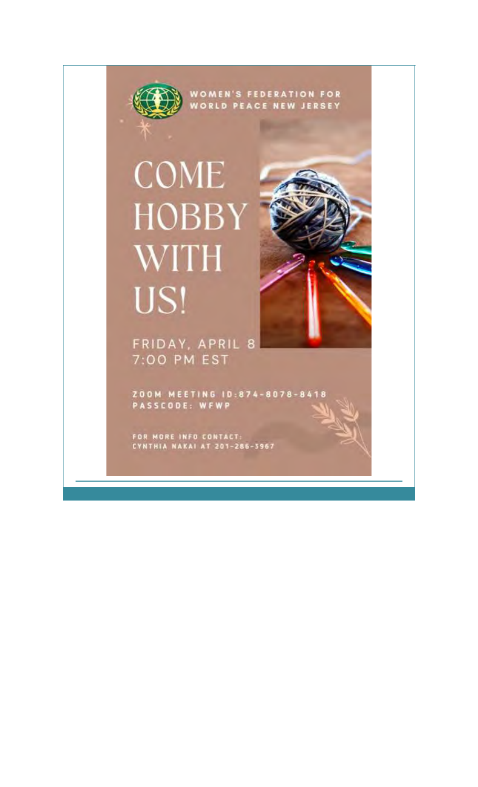

# **COME HOBBY WITH** US!

FRIDAY, APRIL 8 7:00 PM EST

ZOOM MEETING 10:874-8078-8418<br>PASSCODE: WFWP

FOR MORE INFO CONTACT:<br>CYNTHIA NAKAI AT 201-286-3967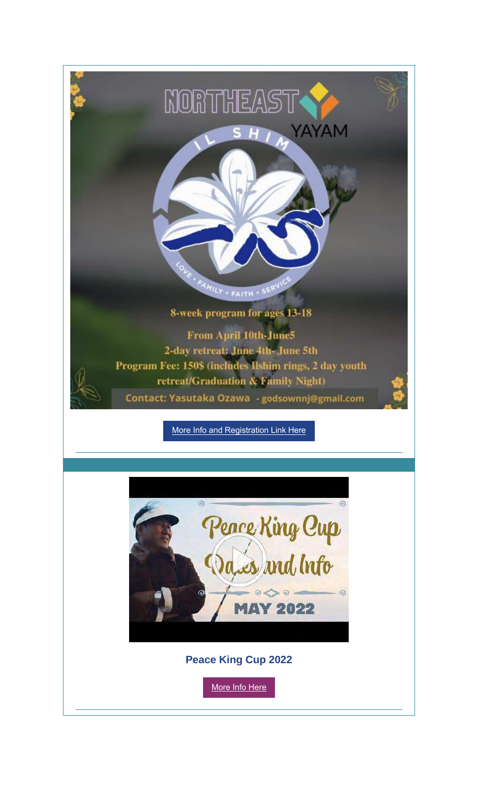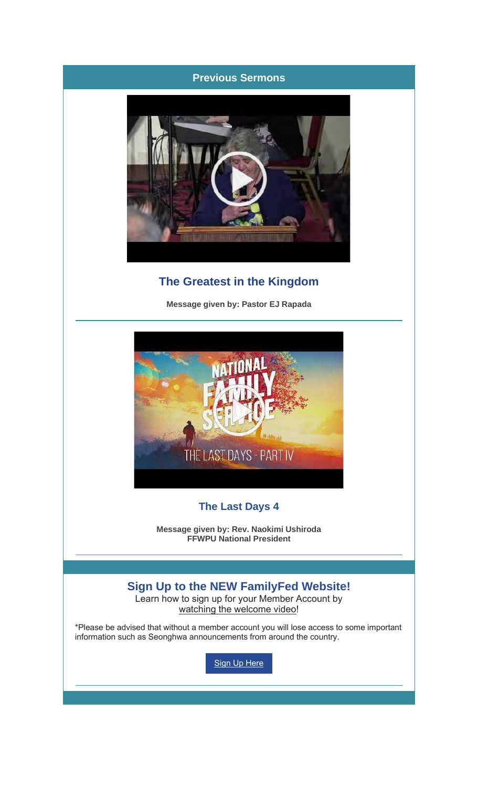## **Previous Sermons**



# **The Greatest in the Kingdom**

**Message given by: Pastor EJ Rapada**



## **The Last Days 4**

**Message given by: Rev. Naokimi Ushiroda FFWPU National President**

## **Sign Up to the NEW FamilyFed Website!**

Learn how to sign up for your Member Account by watching the welcome video!

\*Please be advised that without a member account you will lose access to some important information such as Seonghwa announcements from around the country.

**Sign Up Here**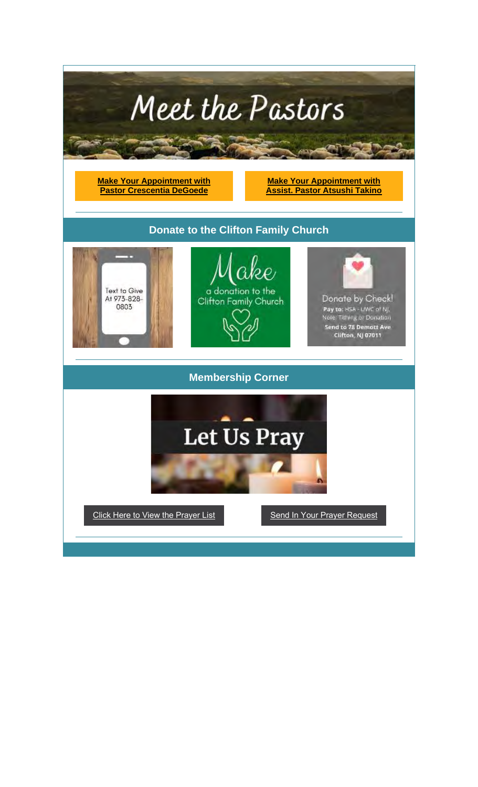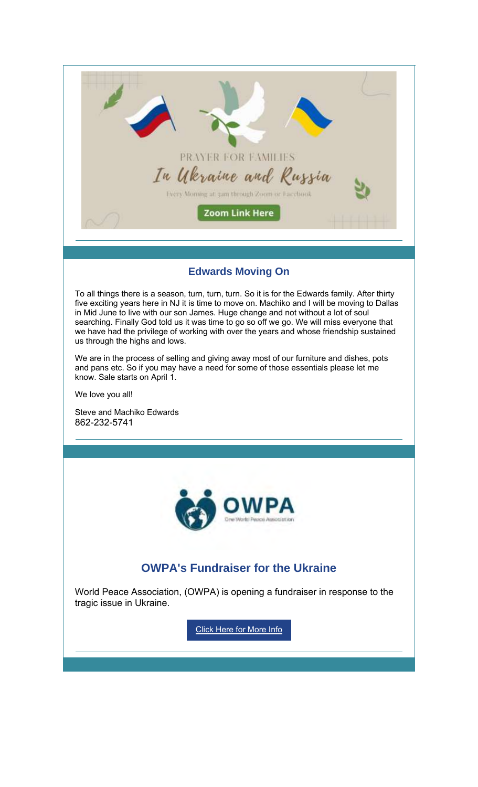